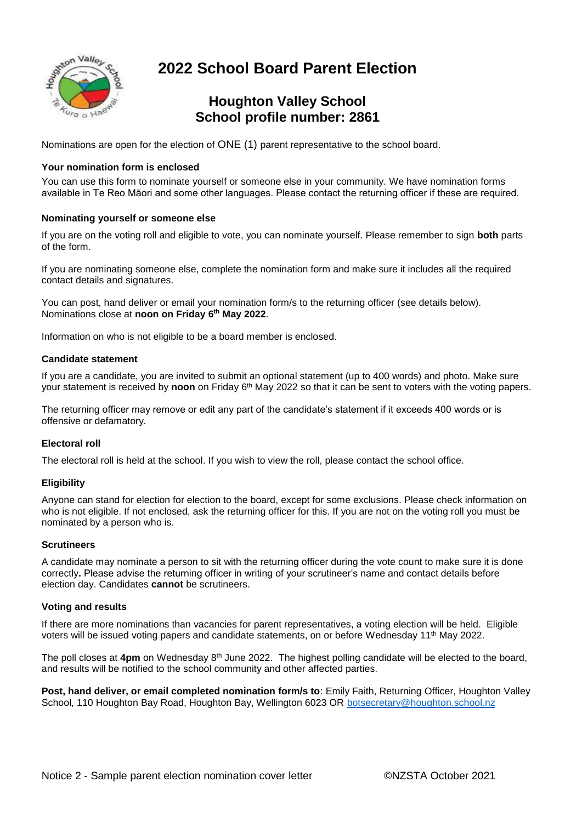

# **2022 School Board Parent Election**

### **Houghton Valley School School profile number: 2861**

Nominations are open for the election of ONE (1) parent representative to the school board.

### **Your nomination form is enclosed**

You can use this form to nominate yourself or someone else in your community. We have nomination forms available in Te Reo Māori and some other languages. Please contact the returning officer if these are required.

#### **Nominating yourself or someone else**

If you are on the voting roll and eligible to vote, you can nominate yourself. Please remember to sign **both** parts of the form.

If you are nominating someone else, complete the nomination form and make sure it includes all the required contact details and signatures.

You can post, hand deliver or email your nomination form/s to the returning officer (see details below). Nominations close at **noon on Friday 6 th May 2022**.

Information on who is not eligible to be a board member is enclosed.

#### **Candidate statement**

If you are a candidate, you are invited to submit an optional statement (up to 400 words) and photo. Make sure your statement is received by **noon** on Friday 6<sup>th</sup> May 2022 so that it can be sent to voters with the voting papers.

The returning officer may remove or edit any part of the candidate's statement if it exceeds 400 words or is offensive or defamatory.

#### **Electoral roll**

The electoral roll is held at the school. If you wish to view the roll, please contact the school office.

#### **Eligibility**

Anyone can stand for election for election to the board, except for some exclusions. Please check information on who is not eligible. If not enclosed, ask the returning officer for this. If you are not on the voting roll you must be nominated by a person who is.

#### **Scrutineers**

A candidate may nominate a person to sit with the returning officer during the vote count to make sure it is done correctly**.** Please advise the returning officer in writing of your scrutineer's name and contact details before election day. Candidates **cannot** be scrutineers.

#### **Voting and results**

If there are more nominations than vacancies for parent representatives, a voting election will be held. Eligible voters will be issued voting papers and candidate statements, on or before Wednesday 11th May 2022.

The poll closes at 4**pm** on Wednesday 8<sup>th</sup> June 2022. The highest polling candidate will be elected to the board, and results will be notified to the school community and other affected parties.

**Post, hand deliver, or email completed nomination form/s to**: Emily Faith, Returning Officer, Houghton Valley School, 110 Houghton Bay Road, Houghton Bay, Wellington 6023 OR [botsecretary@houghton.school.nz](mailto:botsecretary@houghton.school.nz)